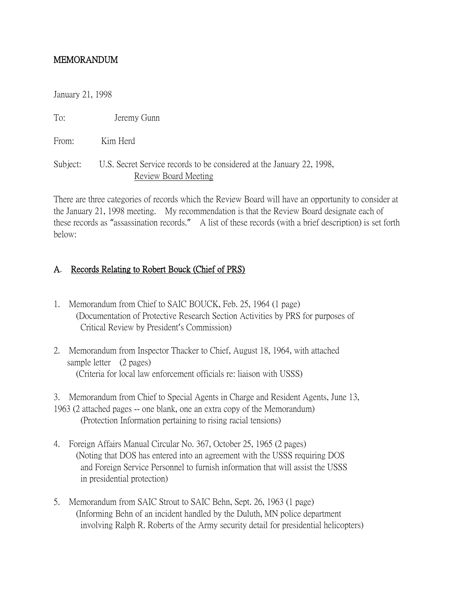## MEMORANDUM

January 21, 1998

To: Jeremy Gunn

From: Kim Herd

Subject: U.S. Secret Service records to be considered at the January 22, 1998, Review Board Meeting

There are three categories of records which the Review Board will have an opportunity to consider at the January 21, 1998 meeting. My recommendation is that the Review Board designate each of these records as "assassination records." A list of these records (with a brief description) is set forth below:

## A. Records Relating to Robert Bouck (Chief of PRS)

- 1. Memorandum from Chief to SAIC BOUCK, Feb. 25, 1964 (1 page) (Documentation of Protective Research Section Activities by PRS for purposes of Critical Review by President's Commission)
- 2. Memorandum from Inspector Thacker to Chief, August 18, 1964, with attached sample letter (2 pages) (Criteria for local law enforcement officials re: liaison with USSS)

3. Memorandum from Chief to Special Agents in Charge and Resident Agents, June 13, 1963 (2 attached pages -- one blank, one an extra copy of the Memorandum) (Protection Information pertaining to rising racial tensions)

- 4. Foreign Affairs Manual Circular No. 367, October 25, 1965 (2 pages) (Noting that DOS has entered into an agreement with the USSS requiring DOS and Foreign Service Personnel to furnish information that will assist the USSS in presidential protection)
- 5. Memorandum from SAIC Strout to SAIC Behn, Sept. 26, 1963 (1 page) (Informing Behn of an incident handled by the Duluth, MN police department involving Ralph R. Roberts of the Army security detail for presidential helicopters)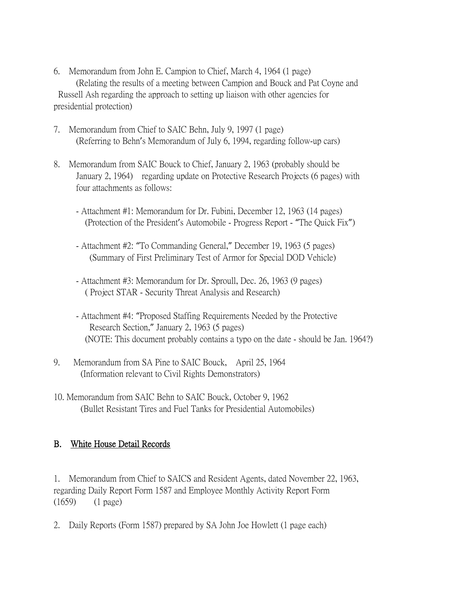- 6. Memorandum from John E. Campion to Chief, March 4, 1964 (1 page) (Relating the results of a meeting between Campion and Bouck and Pat Coyne and Russell Ash regarding the approach to setting up liaison with other agencies for presidential protection)
- 7. Memorandum from Chief to SAIC Behn, July 9, 1997 (1 page) (Referring to Behn's Memorandum of July 6, 1994, regarding follow-up cars)
- 8. Memorandum from SAIC Bouck to Chief, January 2, 1963 (probably should be January 2, 1964) regarding update on Protective Research Projects (6 pages) with four attachments as follows:
	- Attachment #1: Memorandum for Dr. Fubini, December 12, 1963 (14 pages) (Protection of the President's Automobile - Progress Report - "The Quick Fix")
	- Attachment #2: "To Commanding General," December 19, 1963 (5 pages) (Summary of First Preliminary Test of Armor for Special DOD Vehicle)
	- Attachment #3: Memorandum for Dr. Sproull, Dec. 26, 1963 (9 pages) ( Project STAR - Security Threat Analysis and Research)
	- Attachment #4: "Proposed Staffing Requirements Needed by the Protective Research Section," January 2, 1963 (5 pages) (NOTE: This document probably contains a typo on the date - should be Jan. 1964?)
- 9. Memorandum from SA Pine to SAIC Bouck, April 25, 1964 (Information relevant to Civil Rights Demonstrators)
- 10. Memorandum from SAIC Behn to SAIC Bouck, October 9, 1962 (Bullet Resistant Tires and Fuel Tanks for Presidential Automobiles)

## B. White House Detail Records

1. Memorandum from Chief to SAICS and Resident Agents, dated November 22, 1963, regarding Daily Report Form 1587 and Employee Monthly Activity Report Form (1659) (1 page)

2. Daily Reports (Form 1587) prepared by SA John Joe Howlett (1 page each)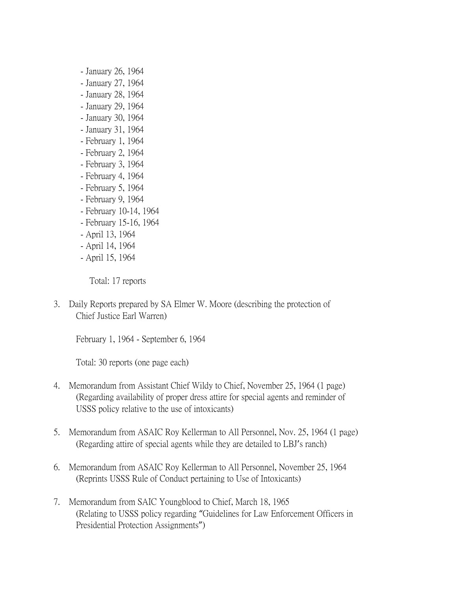- January 26, 1964
- January 27, 1964
- January 28, 1964
- January 29, 1964
- January 30, 1964
- January 31, 1964
- February 1, 1964
- February 2, 1964
- February 3, 1964
- February 4, 1964
- February 5, 1964
- February 9, 1964
- February 10-14, 1964
- February 15-16, 1964
- April 13, 1964
- April 14, 1964
- April 15, 1964

Total: 17 reports

3. Daily Reports prepared by SA Elmer W. Moore (describing the protection of Chief Justice Earl Warren)

February 1, 1964 - September 6, 1964

Total: 30 reports (one page each)

- 4. Memorandum from Assistant Chief Wildy to Chief, November 25, 1964 (1 page) (Regarding availability of proper dress attire for special agents and reminder of USSS policy relative to the use of intoxicants)
- 5. Memorandum from ASAIC Roy Kellerman to All Personnel, Nov. 25, 1964 (1 page) (Regarding attire of special agents while they are detailed to LBJ's ranch)
- 6. Memorandum from ASAIC Roy Kellerman to All Personnel, November 25, 1964 (Reprints USSS Rule of Conduct pertaining to Use of Intoxicants)
- 7. Memorandum from SAIC Youngblood to Chief, March 18, 1965 (Relating to USSS policy regarding "Guidelines for Law Enforcement Officers in Presidential Protection Assignments")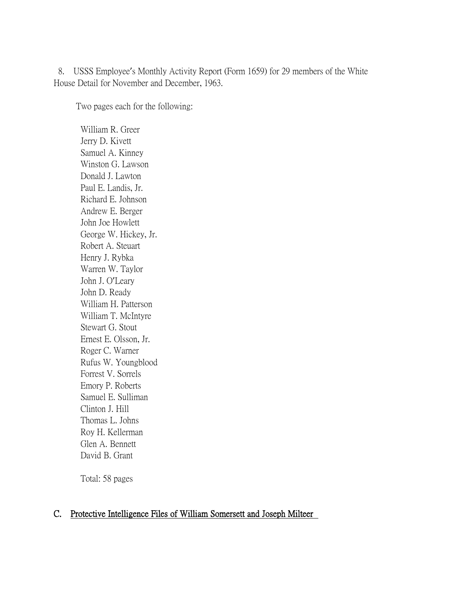8. USSS Employee's Monthly Activity Report (Form 1659) for 29 members of the White House Detail for November and December, 1963.

Two pages each for the following:

 William R. Greer Jerry D. Kivett Samuel A. Kinney Winston G. Lawson Donald J. Lawton Paul E. Landis, Jr. Richard E. Johnson Andrew E. Berger John Joe Howlett George W. Hickey, Jr. Robert A. Steuart Henry J. Rybka Warren W. Taylor John J. O'Leary John D. Ready William H. Patterson William T. McIntyre Stewart G. Stout Ernest E. Olsson, Jr. Roger C. Warner Rufus W. Youngblood Forrest V. Sorrels Emory P. Roberts Samuel E. Sulliman Clinton J. Hill Thomas L. Johns Roy H. Kellerman Glen A. Bennett David B. Grant

Total: 58 pages

## C. Protective Intelligence Files of William Somersett and Joseph Milteer